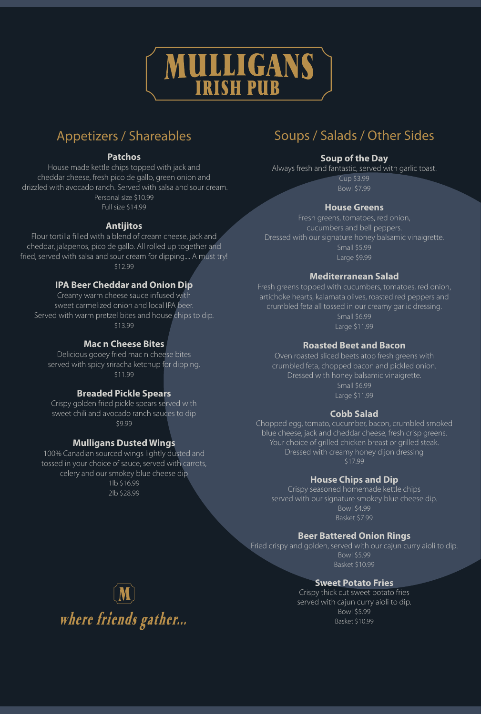

# Appetizers / Shareables

## **Patchos**

House made kettle chips topped with jack and cheddar cheese, fresh pico de gallo, green onion and drizzled with avocado ranch. Served with salsa and sour cream. Personal size \$10.99 Full size \$14.99

#### **Antijitos**

Flour tortilla filled with a blend of cream cheese, jack and cheddar, jalapenos, pico de gallo. All rolled up together and fried, served with salsa and sour cream for dipping.... A must try! \$12.99

## **IPA Beer Cheddar and Onion Dip**

Creamy warm cheese sauce infused with sweet carmelized onion and local IPA beer. Served with warm pretzel bites and house chips to dip. \$13.99

## **Mac n Cheese Bites**

Delicious gooey fried mac n cheese bites served with spicy sriracha ketchup for dipping. \$11.99

## **Breaded Pickle Spears**

Crispy golden fried pickle spears served with sweet chili and avocado ranch sauces to dip \$9.99

## **Mulligans Dusted Wings**

100% Canadian sourced wings lightly dusted and tossed in your choice of sauce, served with carrots, celery and our smokey blue cheese dip 1lb \$16.99 2lb \$28.99

# Soups / Salads / Other Sides

## **Soup of the Day**

Always fresh and fantastic, served with garlic toast. Cup \$3.99

Bowl \$7.99

## **House Greens**

Fresh greens, tomatoes, red onion, cucumbers and bell peppers. Dressed with our signature honey balsamic vinaigrette. Small \$5.99 Large \$9.99

## **Mediterranean Salad**

Fresh greens topped with cucumbers, tomatoes, red onion, artichoke hearts, kalamata olives, roasted red peppers and crumbled feta all tossed in our creamy garlic dressing. Small \$6.99 Large \$11.99

#### **Roasted Beet and Bacon**

Oven roasted sliced beets atop fresh greens with crumbled feta, chopped bacon and pickled onion. Dressed with honey balsamic vinaigrette. Small \$6.99 Large \$11.99

## **Cobb Salad**

Chopped egg, tomato, cucumber, bacon, crumbled smoked blue cheese, jack and cheddar cheese, fresh crisp greens. Your choice of grilled chicken breast or grilled steak. Dressed with creamy honey dijon dressing \$17.99

## **House Chips and Dip**

Crispy seasoned homemade kettle chips served with our signature smokey blue cheese dip. Bowl \$4.99 Basket \$7.99

## **Beer Battered Onion Rings**

Fried crispy and golden, served with our cajun curry aioli to dip. Bowl \$5.99 Basket \$10.99

## **Sweet Potato Fries**

Crispy thick cut sweet potato fries served with cajun curry aioli to dip. Bowl \$5.99 Basket \$10.99